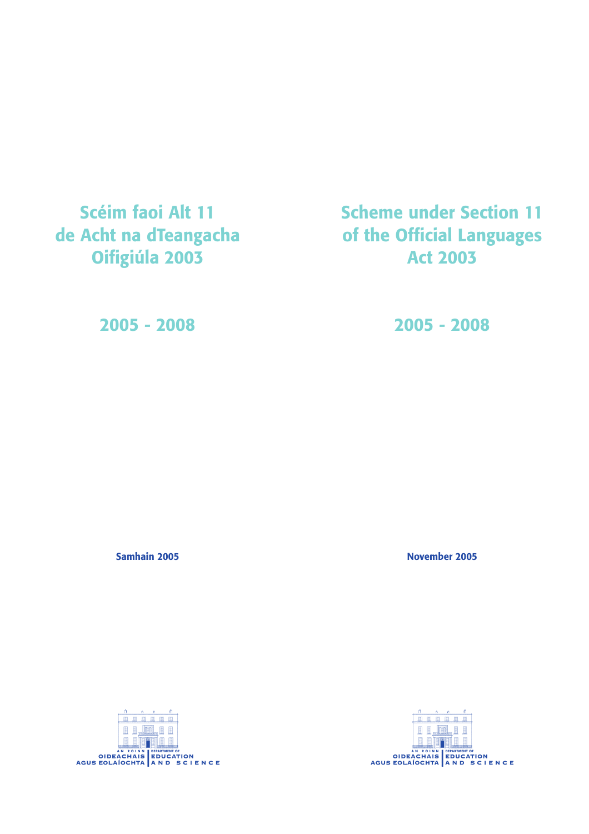**Scéim faoi Alt 11 de Acht na dTeangacha Oifigiúla 2003**

**Scheme under Section 11 of the Official Languages Act 2003**

**2005 - 2008**

**2005 - 2008**

**Samhain 2005**

**November 2005**

**FI.** 1 AGUS EOLAÍOCHTA AND SCIENCE

■■ **EREE RAMLER** SUPER CHANGE AND THE CHANGE OF A REAL PROPERTY OF A REAL PROPERTY OF A REAL PROPERTY OF A REAL PROPERTY OF A REAL PROPERTY OF A REAL PROPERTY OF A REAL PROPERTY OF A REAL PROPERTY OF A REAL PROPERTY OF A REAL PROPERTY OF A

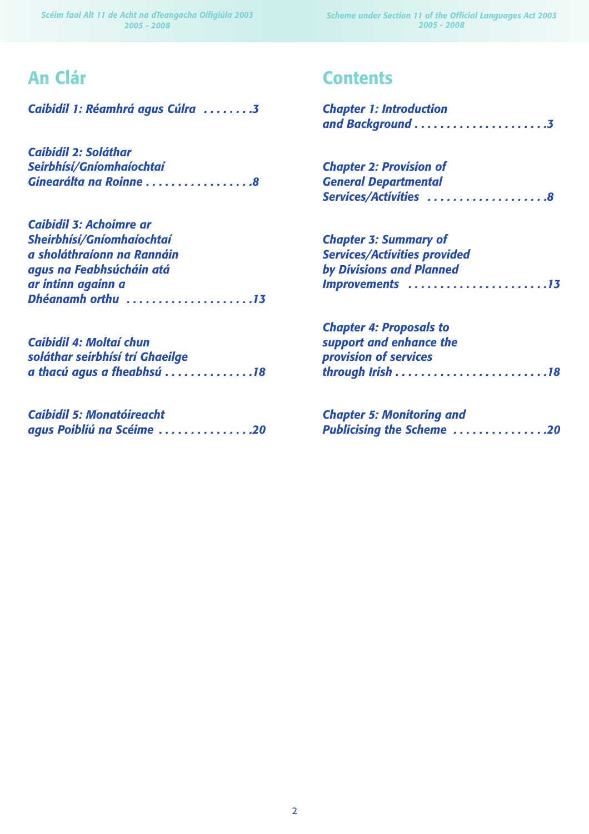*Scheme under Section 11 of the Official Languages Act 2003 2005 - 2008*

# **An Clár**

*Caibidil 1: Réamhrá agus Cúlra . . . . . . . .3*

*Caibidil 2: Soláthar Seirbhísí/Gníomhaíochtaí Ginearálta na Roinne . . . . . . . . . . . . . . . . .8*

| <b>Caibidil 3: Achoimre ar</b> |  |
|--------------------------------|--|
| Sheirbhísí/Gníomhaíochtaí      |  |
| a sholáthraíonn na Rannáin     |  |
| agus na Feabhsúcháin atá       |  |
| ar intinn againn a             |  |
| Dhéanamh orthu 13              |  |

| <b>Caibidil 4: Moltaí chun</b>  |  |
|---------------------------------|--|
| soláthar seirbhísí trí Ghaeilge |  |
| a thacú agus a fheabhsú 18      |  |

| <b>Caibidil 5: Monatóireacht</b> |  |
|----------------------------------|--|
| agus Poibliú na Scéime 20        |  |

# **Contents**

| <b>Chapter 1: Introduction</b> |  |
|--------------------------------|--|
|                                |  |

*Chapter 2: Provision of General Departmental Services/Activities . . . . . . . . . . . . . . . . . . .8*

| <b>Chapter 3: Summary of</b>        |
|-------------------------------------|
| <b>Services/Activities provided</b> |
| by Divisions and Planned            |
| <b>Improvements 13</b>              |

| <b>Chapter 4: Proposals to</b> |  |
|--------------------------------|--|
| support and enhance the        |  |
| provision of services          |  |
|                                |  |

*Chapter 5: Monitoring and Publicising the Scheme . . . . . . . . . . . . . . .20*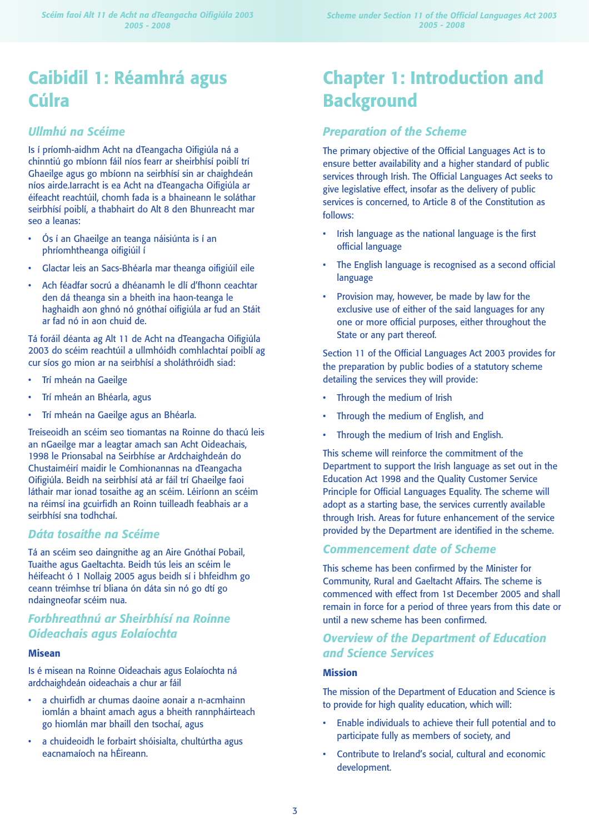# **Caibidil 1: Réamhrá agus Cúlra**

# *Ullmhú na Scéime*

Is í príomh-aidhm Acht na dTeangacha Oifigiúla ná a chinntiú go mbíonn fáil níos fearr ar sheirbhísí poiblí trí Ghaeilge agus go mbíonn na seirbhísí sin ar chaighdeán níos airde.Iarracht is ea Acht na dTeangacha Oifigiúla ar éifeacht reachtúil, chomh fada is a bhaineann le soláthar seirbhísí poiblí, a thabhairt do Alt 8 den Bhunreacht mar seo a leanas:

- Ós í an Ghaeilge an teanga náisiúnta is í an phríomhtheanga oifigiúil í
- Glactar leis an Sacs-Bhéarla mar theanga oifigiúil eile
- Ach féadfar socrú a dhéanamh le dlí d'fhonn ceachtar den dá theanga sin a bheith ina haon-teanga le haghaidh aon ghnó nó gnóthaí oifigiúla ar fud an Stáit ar fad nó in aon chuid de.

Tá foráil déanta ag Alt 11 de Acht na dTeangacha Oifigiúla 2003 do scéim reachtúil a ullmhóidh comhlachtaí poiblí ag cur síos go mion ar na seirbhísí a sholáthróidh siad:

- Trí mheán na Gaeilge
- Trí mheán an Bhéarla, agus
- Trí mheán na Gaeilge agus an Bhéarla.

Treiseoidh an scéim seo tiomantas na Roinne do thacú leis an nGaeilge mar a leagtar amach san Acht Oideachais, 1998 le Prionsabal na Seirbhíse ar Ardchaighdeán do Chustaiméirí maidir le Comhionannas na dTeangacha Oifigiúla. Beidh na seirbhísí atá ar fáil trí Ghaeilge faoi láthair mar ionad tosaithe ag an scéim. Léiríonn an scéim na réimsí ina gcuirfidh an Roinn tuilleadh feabhais ar a seirbhísí sna todhchaí.

# *Dáta tosaithe na Scéime*

Tá an scéim seo daingnithe ag an Aire Gnóthaí Pobail, Tuaithe agus Gaeltachta. Beidh tús leis an scéim le héifeacht ó 1 Nollaig 2005 agus beidh sí i bhfeidhm go ceann tréimhse trí bliana ón dáta sin nó go dtí go ndaingneofar scéim nua.

# *Forbhreathnú ar Sheirbhísí na Roinne Oideachais agus Eolaíochta*

### **Misean**

Is é misean na Roinne Oideachais agus Eolaíochta ná ardchaighdeán oideachais a chur ar fáil

- a chuirfidh ar chumas daoine aonair a n-acmhainn iomlán a bhaint amach agus a bheith rannpháirteach go hiomlán mar bhaill den tsochaí, agus
- a chuideoidh le forbairt shóisialta, chultúrtha agus eacnamaíoch na hÉireann.

# **Chapter 1: Introduction and Background**

# *Preparation of the Scheme*

The primary objective of the Official Languages Act is to ensure better availability and a higher standard of public services through Irish. The Official Languages Act seeks to give legislative effect, insofar as the delivery of public services is concerned, to Article 8 of the Constitution as follows:

- Irish language as the national language is the first official language
- The English language is recognised as a second official language
- Provision may, however, be made by law for the exclusive use of either of the said languages for any one or more official purposes, either throughout the State or any part thereof.

Section 11 of the Official Languages Act 2003 provides for the preparation by public bodies of a statutory scheme detailing the services they will provide:

- Through the medium of Irish
- Through the medium of English, and
- Through the medium of Irish and English.

This scheme will reinforce the commitment of the Department to support the Irish language as set out in the Education Act 1998 and the Quality Customer Service Principle for Official Languages Equality. The scheme will adopt as a starting base, the services currently available through Irish. Areas for future enhancement of the service provided by the Department are identified in the scheme.

# *Commencement date of Scheme*

This scheme has been confirmed by the Minister for Community, Rural and Gaeltacht Affairs. The scheme is commenced with effect from 1st December 2005 and shall remain in force for a period of three years from this date or until a new scheme has been confirmed.

# *Overview of the Department of Education and Science Services*

### **Mission**

The mission of the Department of Education and Science is to provide for high quality education, which will:

- Enable individuals to achieve their full potential and to participate fully as members of society, and
- Contribute to Ireland's social, cultural and economic development.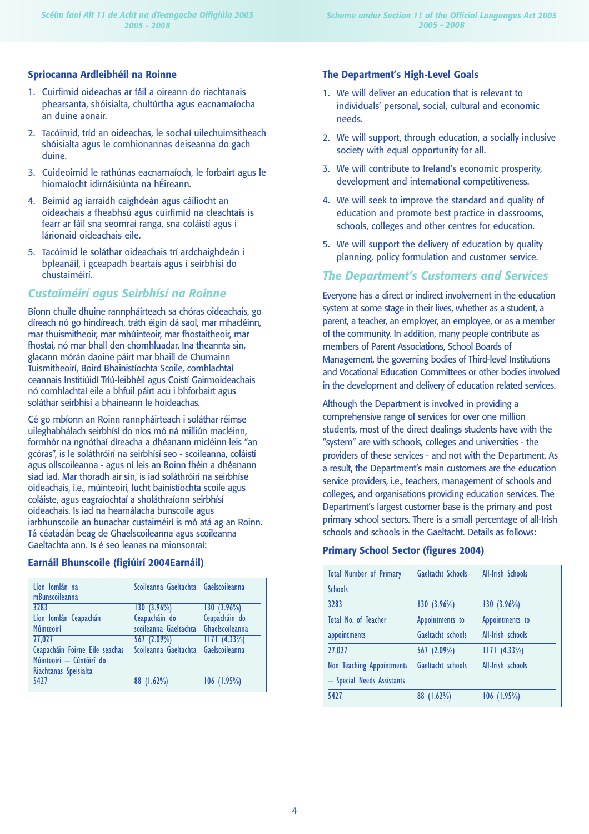## **Spriocanna Ardleibhéil na Roinne**

- 1. Cuirfimid oideachas ar fáil a oireann do riachtanais phearsanta, shóisialta, chultúrtha agus eacnamaíocha an duine aonair.
- 2. Tacóimid, tríd an oideachas, le sochaí uilechuimsitheach shóisialta agus le comhionannas deiseanna do gach duine.
- 3. Cuideoimid le rathúnas eacnamaíoch, le forbairt agus le hiomaíocht idirnáisiúnta na hÉireann.
- 4. Beimid ag iarraidh caighdeán agus cáilíocht an oideachais a fheabhsú agus cuirfimid na cleachtais is fearr ar fáil sna seomraí ranga, sna coláistí agus i lárionaid oideachais eile.
- 5. Tacóimid le soláthar oideachais trí ardchaighdeán i bpleanáil, i gceapadh beartais agus i seirbhísí do chustaiméirí.

## *Custaiméirí agus Seirbhísí na Roinne*

Bíonn chuile dhuine rannpháirteach sa chóras oideachais, go díreach nó go hindíreach, tráth éigin dá saol, mar mhacléinn, mar thuismitheoir, mar mhúinteoir, mar fhostaitheoir, mar fhostaí, nó mar bhall den chomhluadar. Ina theannta sin, glacann mórán daoine páirt mar bhaill de Chumainn Tuismitheoirí, Boird Bhainistíochta Scoile, comhlachtaí ceannais Institiúidí Tríú-leibhéil agus Coistí Gairmoideachais nó comhlachtaí eile a bhfuil páirt acu i bhforbairt agus soláthar seirbhísí a bhaineann le hoideachas.

Cé go mbíonn an Roinn rannpháirteach i soláthar réimse uileghabhálach seirbhísí do níos mó ná milliún macléinn, formhór na ngnóthaí díreacha a dhéanann micléinn leis "an gcóras", is le soláthróirí na seirbhísí seo - scoileanna, coláistí agus ollscoileanna - agus ní leis an Roinn fhéin a dhéanann siad iad. Mar thoradh air sin, is iad soláthróirí na seirbhíse oideachais, i.e., múinteoirí, lucht bainistíochta scoile agus coláiste, agus eagraíochtaí a sholáthraíonn seirbhísí oideachais. Is iad na hearnálacha bunscoile agus iarbhunscoile an bunachar custaiméirí is mó atá ag an Roinn. Tá céatadán beag de Ghaelscoileanna agus scoileanna Gaeltachta ann. Is é seo leanas na mionsonraí:

### **Earnáil Bhunscoile (figiúirí 2004Earnáil)**

| Líon Iomlán na                 | Scoileanna Gaeltachta Gaelscoileanna |                 |
|--------------------------------|--------------------------------------|-----------------|
| mBunscoileanna                 |                                      |                 |
| 3283                           | $130(3.96\%)$                        | $130(3.96\%)$   |
| Líon Iomlán Ceapachán          | Ceapacháin do                        | Ceapacháin do   |
| Múinteoirí                     | scoileanna Gaeltachta                | Ghaelscoileanna |
| 27.027                         | 567(2.09%)                           | $1171 (4.33\%)$ |
| Ceapacháin Foirne Eile seachas | Scoileanna Gaeltachta                | Gaelscoileanna  |
| Múinteoirí - Cúntóirí do       |                                      |                 |
| Riachtanas Speisialta          |                                      |                 |
| 5427                           | $(1.62\%)$<br>88                     | $106$ (1.95%)   |

## **The Department's High-Level Goals**

- 1. We will deliver an education that is relevant to individuals' personal, social, cultural and economic needs.
- 2. We will support, through education, a socially inclusive society with equal opportunity for all.
- 3. We will contribute to Ireland's economic prosperity, development and international competitiveness.
- 4. We will seek to improve the standard and quality of education and promote best practice in classrooms, schools, colleges and other centres for education.
- 5. We will support the delivery of education by quality planning, policy formulation and customer service.

## *The Department's Customers and Services*

Everyone has a direct or indirect involvement in the education system at some stage in their lives, whether as a student, a parent, a teacher, an employer, an employee, or as a member of the community. In addition, many people contribute as members of Parent Associations, School Boards of Management, the governing bodies of Third-level Institutions and Vocational Education Committees or other bodies involved in the development and delivery of education related services.

Although the Department is involved in providing a comprehensive range of services for over one million students, most of the direct dealings students have with the "system" are with schools, colleges and universities - the providers of these services - and not with the Department. As a result, the Department's main customers are the education service providers, i.e., teachers, management of schools and colleges, and organisations providing education services. The Department's largest customer base is the primary and post primary school sectors. There is a small percentage of all-Irish schools and schools in the Gaeltacht. Details as follows:

### **Primary School Sector (figures 2004)**

| <b>Total Number of Primary</b>   | Gaeltacht Schools | <b>All-Irish Schools</b> |
|----------------------------------|-------------------|--------------------------|
| <b>Schools</b>                   |                   |                          |
| 3283                             | $130(3.96\%)$     | $130(3.96\%)$            |
| Total No. of Teacher             | Appointments to   | Appointments to          |
| appointments                     | Gaeltacht schools | All-Irish schools        |
| 27,027                           | 567(2.09%)        | $1171 (4.33\%)$          |
| <b>Non Teaching Appointments</b> | Gaeltacht schools | All-Irish schools        |
| - Special Needs Assistants       |                   |                          |
| 5427                             | $88$ (1.62%)      | $106$ (1.95%)            |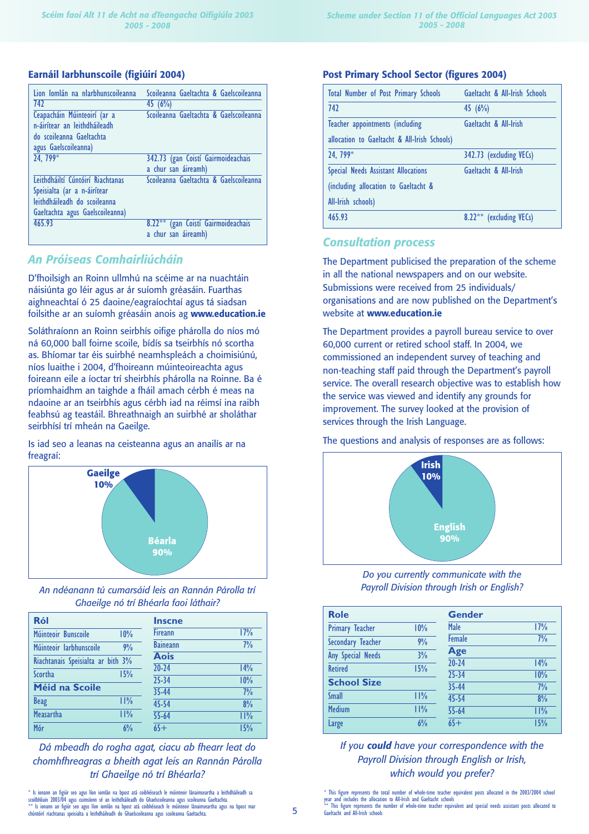#### **Earnáil Iarbhunscoile (figiúirí 2004)**

| Lion Iomlán na nIarbhunscoileanna | Scoileanna Gaeltachta & Gaelscoileanna   |
|-----------------------------------|------------------------------------------|
| 742                               | 45(6%)                                   |
| Ceapacháin Múinteoirí (ar a       | Scoileanna Gaeltachta & Gaelscoileanna   |
| n-áirítear an leithdháileadh      |                                          |
| do scoileanna Gaeltachta          |                                          |
| agus Gaelscoileanna)              |                                          |
| 24.799*                           | 342.73 (gan Coistí Gairmoideachais       |
|                                   | a chur san áireamh)                      |
| Leithdháiltí Cúntóirí Riachtanas  | Scoileanna Gaeltachta & Gaelscoileanna   |
| Speisialta (ar a n-áirítear       |                                          |
| leithdháileadh do scoileanna      |                                          |
| Gaeltachta agus Gaelscoileanna)   |                                          |
| 465.93                            | (gan Coistí Gairmoideachais<br>$8.22***$ |
|                                   | a chur san áireamh)                      |
|                                   |                                          |

## *An Próiseas Comhairliúcháin*

D'fhoilsigh an Roinn ullmhú na scéime ar na nuachtáin náisiúnta go léir agus ar ár suíomh gréasáin. Fuarthas aighneachtaí ó 25 daoine/eagraíochtaí agus tá siadsan foilsithe ar an suíomh gréasáin anois ag **www.education.ie**

Soláthraíonn an Roinn seirbhís oifige phárolla do níos mó ná 60,000 ball foirne scoile, bídís sa tseirbhís nó scortha as. Bhíomar tar éis suirbhé neamhspleách a choimisiúnú, níos luaithe i 2004, d'fhoireann múinteoireachta agus foireann eile a íoctar trí sheirbhís phárolla na Roinne. Ba é príomhaidhm an taighde a fháil amach cérbh é meas na ndaoine ar an tseirbhís agus cérbh iad na réimsí ina raibh feabhsú ag teastáil. Bhreathnaigh an suirbhé ar sholáthar seirbhísí trí mheán na Gaeilge.

Is iad seo a leanas na ceisteanna agus an anailís ar na freagraí:



*An ndéanann tú cumarsáid leis an Rannán Párolla trí Ghaeilge nó trí Bhéarla faoi láthair?*

| Ról                               |     | <b>Inscne</b>   |     |
|-----------------------------------|-----|-----------------|-----|
| Múinteoir Bunscoile               | 10% | <b>Fireann</b>  | 17% |
| Múinteoir Iarbhunscoile           | 9%  | <b>Baineann</b> | 7%  |
| Riachtanais Speisialta ar bith 3% |     | <b>Aois</b>     |     |
| Scortha                           | 15% | $20 - 24$       | 14% |
|                                   |     | 25-34           | 10% |
| Méid na Scoile                    |     | 35-44           | 7%  |
| <b>Beag</b>                       | 11% | 45-54           | 8%  |
| <b>Measartha</b>                  | 11% | $55 - 64$       | 11% |
| Mór                               | 6%  | $65+$           | 15% |

*Dá mbeadh do rogha agat, ciacu ab fhearr leat do chomhfhreagras a bheith agat leis an Rannán Párolla trí Ghaeilge nó trí Bhéarla?*

\* Is ionann an figiúr seo agus líon iomlán na bpost atá coibhéiseach le múinteoir lánaimseartha a leithdháileadh sa<br>scoibhliain 2003/04 agus cuimsionn sé an leithdháileadh do Ghaelscoileanna agus scoileanna Gaeltachta.<br>\*\* chúntóirí riachtanas speisialta a leithdháileadh do Ghaelscoileanna agus scoileanna Gaeltachta.

#### **Post Primary School Sector (figures 2004)**

| <b>Total Number of Post Primary Schools</b>  | Gaeltacht & All-Irish Schools |
|----------------------------------------------|-------------------------------|
| 742                                          | 45(6%)                        |
| Teacher appointments (including              | Gaeltacht & All-Irish         |
| allocation to Gaeltacht & All-Irish Schools) |                               |
| 24.799*                                      | 342.73 (excluding VECs)       |
| Special Needs Assistant Allocations          | Gaeltacht & All-Irish         |
| (including allocation to Gaeltacht &         |                               |
| All-Irish schools)                           |                               |
| 465.93                                       | (excluding VECs)<br>$8.22***$ |

## *Consultation process*

The Department publicised the preparation of the scheme in all the national newspapers and on our website. Submissions were received from 25 individuals/ organisations and are now published on the Department's website at **www.education.ie** 

The Department provides a payroll bureau service to over 60,000 current or retired school staff. In 2004, we commissioned an independent survey of teaching and non-teaching staff paid through the Department's payroll service. The overall research objective was to establish how the service was viewed and identify any grounds for improvement. The survey looked at the provision of services through the Irish Language.

#### The questions and analysis of responses are as follows:



*Do you currently communicate with the Payroll Division through Irish or English?*

| <b>Role</b>            |     | <b>Gender</b>      |           |
|------------------------|-----|--------------------|-----------|
| <b>Primary Teacher</b> | 10% | Male               | 17%       |
| Secondary Teacher      | 9%  | <b>Female</b>      | 7%        |
| Any Special Needs      | 3%  | Age                |           |
| <b>Retired</b>         | 15% | $20 - 24$          | 14%       |
| <b>School Size</b>     |     | $25 - 34$<br>35-44 | 10%<br>7% |
| <b>Small</b>           | 11% | 45-54              | 8%        |
| <b>Medium</b>          | 11% | 55-64              | 11%       |
| Large                  | 6%  | $65+$              | 15%       |

## *If you could have your correspondence with the Payroll Division through English or Irish, which would you prefer?*

<sup>\*</sup> This figure represents the total number of whole-time teacher equivalent posts allocated in the 2003/2004 school year and includes the allocation to All-Irish and Gaeltacht schools This figure represents the number of whole-time teacher equivalent and special needs assistant posts allocated to Gaeltacht and All-Irish schools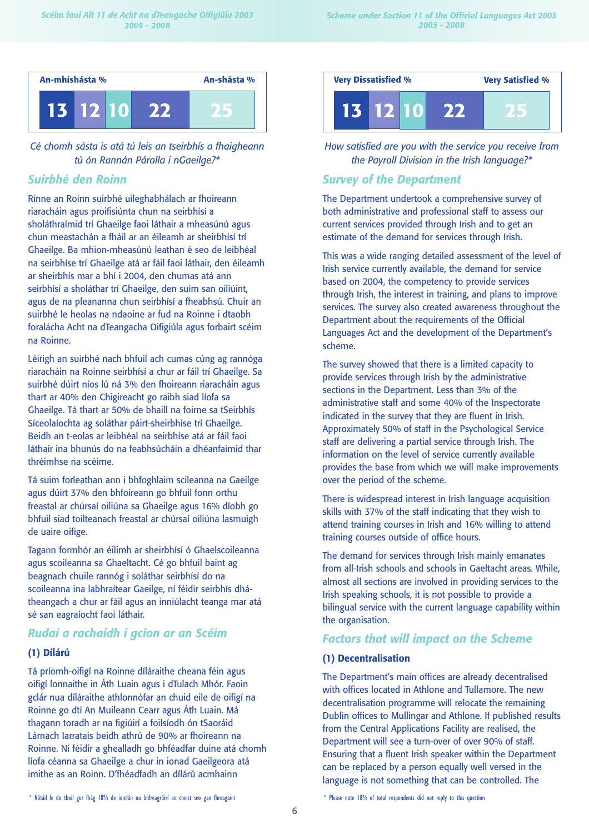

*Cé chomh sásta is atá tú leis an tseirbhís a fhaigheann tú ón Rannán Párolla i nGaeilge?\**

# *Suirbhé den Roinn*

Rinne an Roinn suirbhé uileghabhálach ar fhoireann riaracháin agus proifisiúnta chun na seirbhísí a sholáthraímid trí Ghaeilge faoi láthair a mheasúnú agus chun meastachán a fháil ar an éileamh ar sheirbhísí trí Ghaeilge. Ba mhion-mheasúnú leathan é seo de leibhéal na seirbhíse trí Ghaeilge atá ar fáil faoi láthair, den éileamh ar sheirbhís mar a bhí i 2004, den chumas atá ann seirbhísí a sholáthar trí Ghaeilge, den suim san oiliúint, agus de na pleananna chun seirbhísí a fheabhsú. Chuir an suirbhé le heolas na ndaoine ar fud na Roinne i dtaobh foralácha Acht na dTeangacha Oifigiúla agus forbairt scéim na Roinne.

Léirigh an suirbhé nach bhfuil ach cumas cúng ag rannóga riaracháin na Roinne seirbhísí a chur ar fáil trí Ghaeilge. Sa suirbhé dúirt níos lú ná 3% den fhoireann riaracháin agus thart ar 40% den Chigireacht go raibh siad líofa sa Ghaeilge. Tá thart ar 50% de bhaill na foirne sa tSeirbhís Síceolaíochta ag soláthar páirt-sheirbhíse trí Ghaeilge. Beidh an t-eolas ar leibhéal na seirbhíse atá ar fáil faoi láthair ina bhunús do na feabhsúcháin a dhéanfaimid thar thréimhse na scéime.

Tá suim forleathan ann i bhfoghlaim scileanna na Gaeilge agus dúirt 37% den bhfoireann go bhfuil fonn orthu freastal ar chúrsaí oiliúna sa Ghaeilge agus 16% díobh go bhfuil siad toilteanach freastal ar chúrsaí oiliúna lasmuigh de uaire oifige.

Tagann formhór an éilimh ar sheirbhísí ó Ghaelscoileanna agus scoileanna sa Ghaeltacht. Cé go bhfuil baint ag beagnach chuile rannóg i soláthar seirbhísí do na scoileanna ina labhraítear Gaeilge, ní féidir seirbhís dhátheangach a chur ar fáil agus an inniúlacht teanga mar atá sé san eagraíocht faoi láthair.

# *Rudaí a rachaidh i gcion ar an Scéim*

## **(1) Dílárú**

Tá príomh-oifigí na Roinne díláraithe cheana féin agus oifigí lonnaithe in Áth Luain agus i dTulach Mhór. Faoin gclár nua díláraithe athlonnófar an chuid eile de oifigí na Roinne go dtí An Muileann Cearr agus Áth Luain. Má thagann toradh ar na figiúirí a foilsíodh ón tSaoráid Lárnach Iarratais beidh athrú de 90% ar fhoireann na Roinne. Ní féidir a ghealladh go bhféadfar duine atá chomh líofa céanna sa Ghaeilge a chur in ionad Gaeilgeora atá imithe as an Roinn. D'fhéadfadh an dílárú acmhainn



*How satisfied are you with the service you receive from the Payroll Division in the Irish language?\**

## *Survey of the Department*

The Department undertook a comprehensive survey of both administrative and professional staff to assess our current services provided through Irish and to get an estimate of the demand for services through Irish.

This was a wide ranging detailed assessment of the level of Irish service currently available, the demand for service based on 2004, the competency to provide services through Irish, the interest in training, and plans to improve services. The survey also created awareness throughout the Department about the requirements of the Official Languages Act and the development of the Department's scheme.

The survey showed that there is a limited capacity to provide services through Irish by the administrative sections in the Department. Less than 3% of the administrative staff and some 40% of the Inspectorate indicated in the survey that they are fluent in Irish. Approximately 50% of staff in the Psychological Service staff are delivering a partial service through Irish. The information on the level of service currently available provides the base from which we will make improvements over the period of the scheme.

There is widespread interest in Irish language acquisition skills with 37% of the staff indicating that they wish to attend training courses in Irish and 16% willing to attend training courses outside of office hours.

The demand for services through Irish mainly emanates from all-Irish schools and schools in Gaeltacht areas. While, almost all sections are involved in providing services to the Irish speaking schools, it is not possible to provide a bilingual service with the current language capability within the organisation.

# *Factors that will impact on the Scheme*

## **(1) Decentralisation**

The Department's main offices are already decentralised with offices located in Athlone and Tullamore. The new decentralisation programme will relocate the remaining Dublin offices to Mullingar and Athlone. If published results from the Central Applications Facility are realised, the Department will see a turn-over of over 90% of staff. Ensuring that a fluent Irish speaker within the Department can be replaced by a person equally well versed in the language is not something that can be controlled. The

\* Nótáil le do thoil gur fhág 18% de iomlán na bhfreagróirí an cheist seo gan fhreagairt \* Please note 18% of total respondents did not reply to this question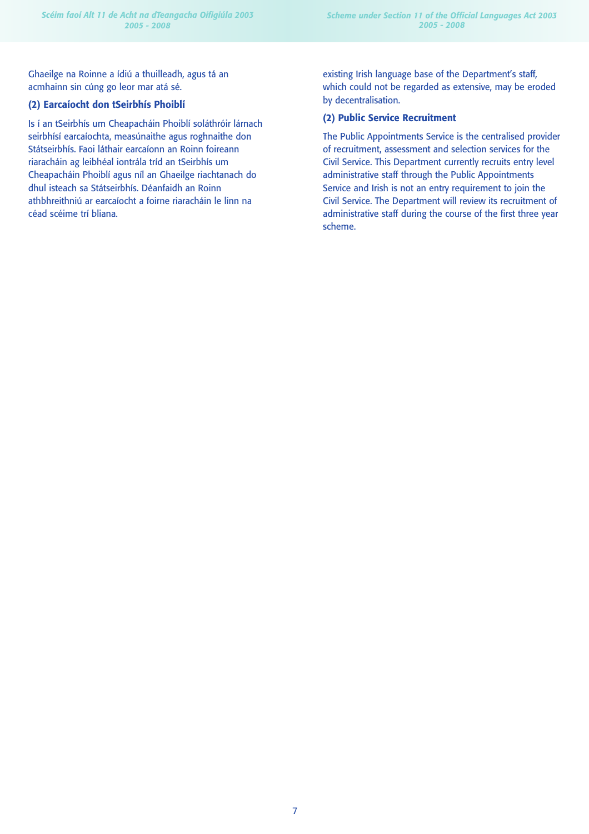Ghaeilge na Roinne a ídiú a thuilleadh, agus tá an acmhainn sin cúng go leor mar atá sé.

## **(2) Earcaíocht don tSeirbhís Phoiblí**

Is í an tSeirbhís um Cheapacháin Phoiblí soláthróir lárnach seirbhísí earcaíochta, measúnaithe agus roghnaithe don Státseirbhís. Faoi láthair earcaíonn an Roinn foireann riaracháin ag leibhéal iontrála tríd an tSeirbhís um Cheapacháin Phoiblí agus níl an Ghaeilge riachtanach do dhul isteach sa Státseirbhís. Déanfaidh an Roinn athbhreithniú ar earcaíocht a foirne riaracháin le linn na céad scéime trí bliana.

existing Irish language base of the Department's staff, which could not be regarded as extensive, may be eroded by decentralisation.

## **(2) Public Service Recruitment**

The Public Appointments Service is the centralised provider of recruitment, assessment and selection services for the Civil Service. This Department currently recruits entry level administrative staff through the Public Appointments Service and Irish is not an entry requirement to join the Civil Service. The Department will review its recruitment of administrative staff during the course of the first three year scheme.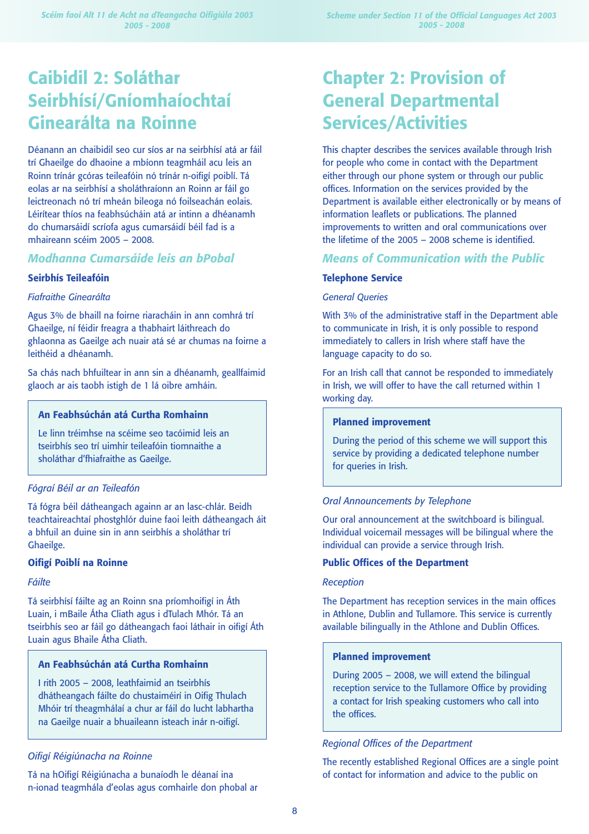# **Caibidil 2: Soláthar Seirbhísí/Gníomhaíochtaí Ginearálta na Roinne**

Déanann an chaibidil seo cur síos ar na seirbhísí atá ar fáil trí Ghaeilge do dhaoine a mbíonn teagmháil acu leis an Roinn trínár gcóras teileafóin nó trínár n-oifigí poiblí. Tá eolas ar na seirbhísí a sholáthraíonn an Roinn ar fáil go leictreonach nó trí mheán bileoga nó foilseachán eolais. Léirítear thíos na feabhsúcháin atá ar intinn a dhéanamh do chumarsáidí scríofa agus cumarsáidí béil fad is a mhaireann scéim 2005 – 2008.

## *Modhanna Cumarsáide leis an bPobal*

#### **Seirbhís Teileafóin**

#### *Fiafraithe Ginearálta*

Agus 3% de bhaill na foirne riaracháin in ann comhrá trí Ghaeilge, ní féidir freagra a thabhairt láithreach do ghlaonna as Gaeilge ach nuair atá sé ar chumas na foirne a leithéid a dhéanamh.

Sa chás nach bhfuiltear in ann sin a dhéanamh, geallfaimid glaoch ar ais taobh istigh de 1 lá oibre amháin.

## **An Feabhsúchán atá Curtha Romhainn**

Le linn tréimhse na scéime seo tacóimid leis an tseirbhís seo trí uimhir teileafóin tiomnaithe a sholáthar d'fhiafraithe as Gaeilge.

### *Fógraí Béil ar an Teileafón*

Tá fógra béil dátheangach againn ar an lasc-chlár. Beidh teachtaireachtaí phostghlór duine faoi leith dátheangach áit a bhfuil an duine sin in ann seirbhís a sholáthar trí Ghaeilge.

### **Oifigí Poiblí na Roinne**

#### *Fáilte*

Tá seirbhísí fáilte ag an Roinn sna príomhoifigí in Áth Luain, i mBaile Átha Cliath agus i dTulach Mhór. Tá an tseirbhís seo ar fáil go dátheangach faoi láthair in oifigí Áth Luain agus Bhaile Átha Cliath.

## **An Feabhsúchán atá Curtha Romhainn**

I rith 2005 – 2008, leathfaimid an tseirbhís dhátheangach fáilte do chustaiméirí in Oifig Thulach Mhóir trí theagmhálaí a chur ar fáil do lucht labhartha na Gaeilge nuair a bhuaileann isteach inár n-oifigí.

#### *Oifigí Réigiúnacha na Roinne*

Tá na hOifigí Réigiúnacha a bunaíodh le déanaí ina n-ionad teagmhála d'eolas agus comhairle don phobal ar

# **Chapter 2: Provision of General Departmental Services/Activities**

This chapter describes the services available through Irish for people who come in contact with the Department either through our phone system or through our public offices. Information on the services provided by the Department is available either electronically or by means of information leaflets or publications. The planned improvements to written and oral communications over the lifetime of the 2005 – 2008 scheme is identified.

## *Means of Communication with the Public*

#### **Telephone Service**

#### *General Queries*

With 3% of the administrative staff in the Department able to communicate in Irish, it is only possible to respond immediately to callers in Irish where staff have the language capacity to do so.

For an Irish call that cannot be responded to immediately in Irish, we will offer to have the call returned within 1 working day.

## **Planned improvement**

During the period of this scheme we will support this service by providing a dedicated telephone number for queries in Irish.

#### *Oral Announcements by Telephone*

Our oral announcement at the switchboard is bilingual. Individual voicemail messages will be bilingual where the individual can provide a service through Irish.

#### **Public Offices of the Department**

#### *Reception*

The Department has reception services in the main offices in Athlone, Dublin and Tullamore. This service is currently available bilingually in the Athlone and Dublin Offices.

#### **Planned improvement**

During 2005 – 2008, we will extend the bilingual reception service to the Tullamore Office by providing a contact for Irish speaking customers who call into the offices.

#### *Regional Offices of the Department*

The recently established Regional Offices are a single point of contact for information and advice to the public on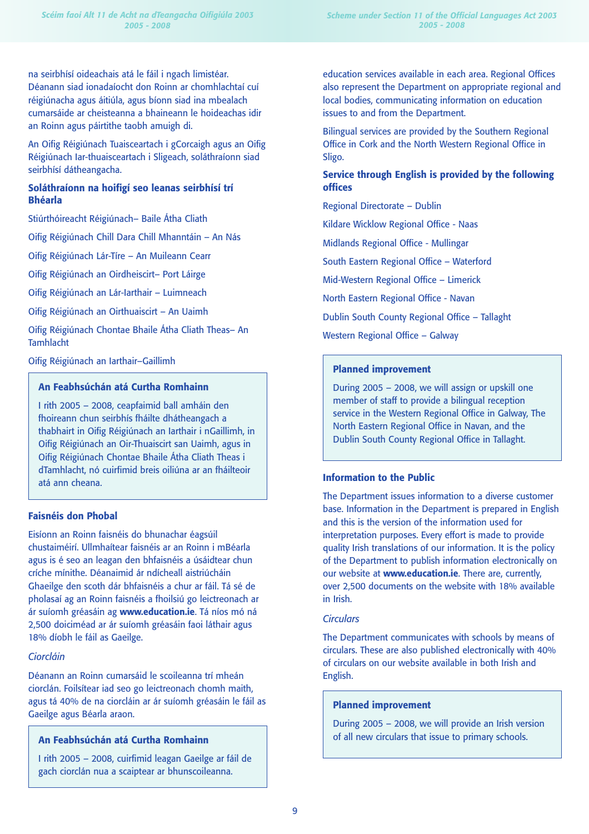na seirbhísí oideachais atá le fáil i ngach limistéar. Déanann siad ionadaíocht don Roinn ar chomhlachtaí cuí réigiúnacha agus áitiúla, agus bíonn siad ina mbealach cumarsáide ar cheisteanna a bhaineann le hoideachas idir an Roinn agus páirtithe taobh amuigh di.

An Oifig Réigiúnach Tuaisceartach i gCorcaigh agus an Oifig Réigiúnach Iar-thuaisceartach i Sligeach, soláthraíonn siad seirbhísí dátheangacha.

## **Soláthraíonn na hoifigí seo leanas seirbhísí trí Bhéarla**

Stiúrthóireacht Réigiúnach– Baile Átha Cliath

Oifig Réigiúnach Chill Dara Chill Mhanntáin – An Nás

Oifig Réigiúnach Lár-Tíre – An Muileann Cearr

Oifig Réigiúnach an Oirdheiscirt– Port Láirge

Oifig Réigiúnach an Lár-Iarthair – Luimneach

Oifig Réigiúnach an Oirthuaiscirt – An Uaimh

Oifig Réigiúnach Chontae Bhaile Átha Cliath Theas– An Tamhlacht

Oifig Réigiúnach an Iarthair–Gaillimh

## **An Feabhsúchán atá Curtha Romhainn**

I rith 2005 – 2008, ceapfaimid ball amháin den fhoireann chun seirbhís fháilte dhátheangach a thabhairt in Oifig Réigiúnach an Iarthair i nGaillimh, in Oifig Réigiúnach an Oir-Thuaiscirt san Uaimh, agus in Oifig Réigiúnach Chontae Bhaile Átha Cliath Theas i dTamhlacht, nó cuirfimid breis oiliúna ar an fháilteoir atá ann cheana.

### **Faisnéis don Phobal**

Eisíonn an Roinn faisnéis do bhunachar éagsúil chustaiméirí. Ullmhaítear faisnéis ar an Roinn i mBéarla agus is é seo an leagan den bhfaisnéis a úsáidtear chun críche mínithe. Déanaimid ár ndícheall aistriúcháin Ghaeilge den scoth dár bhfaisnéis a chur ar fáil. Tá sé de pholasaí ag an Roinn faisnéis a fhoilsiú go leictreonach ar ár suíomh gréasáin ag **www.education.ie**. Tá níos mó ná 2,500 doiciméad ar ár suíomh gréasáin faoi láthair agus 18% díobh le fáil as Gaeilge.

## *Ciorcláin*

Déanann an Roinn cumarsáid le scoileanna trí mheán ciorclán. Foilsítear iad seo go leictreonach chomh maith, agus tá 40% de na ciorcláin ar ár suíomh gréasáin le fáil as Gaeilge agus Béarla araon.

## **An Feabhsúchán atá Curtha Romhainn**

I rith 2005 – 2008, cuirfimid leagan Gaeilge ar fáil de gach ciorclán nua a scaiptear ar bhunscoileanna.

education services available in each area. Regional Offices also represent the Department on appropriate regional and local bodies, communicating information on education issues to and from the Department.

Bilingual services are provided by the Southern Regional Office in Cork and the North Western Regional Office in Sligo.

## **Service through English is provided by the following offices**

Regional Directorate – Dublin

Kildare Wicklow Regional Office - Naas

Midlands Regional Office - Mullingar

South Eastern Regional Office – Waterford

Mid-Western Regional Office – Limerick

North Eastern Regional Office - Navan

Dublin South County Regional Office – Tallaght

Western Regional Office – Galway

### **Planned improvement**

During 2005 – 2008, we will assign or upskill one member of staff to provide a bilingual reception service in the Western Regional Office in Galway, The North Eastern Regional Office in Navan, and the Dublin South County Regional Office in Tallaght.

### **Information to the Public**

The Department issues information to a diverse customer base. Information in the Department is prepared in English and this is the version of the information used for interpretation purposes. Every effort is made to provide quality Irish translations of our information. It is the policy of the Department to publish information electronically on our website at **www.education.ie**. There are, currently, over 2,500 documents on the website with 18% available in Irish.

### *Circulars*

The Department communicates with schools by means of circulars. These are also published electronically with 40% of circulars on our website available in both Irish and English.

### **Planned improvement**

During 2005 – 2008, we will provide an Irish version of all new circulars that issue to primary schools.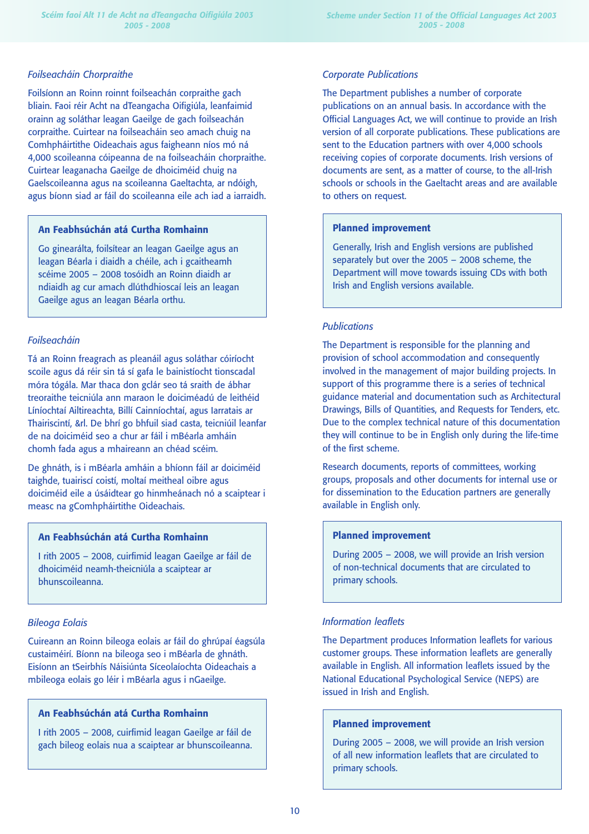### *Foilseacháin Chorpraithe*

Foilsíonn an Roinn roinnt foilseachán corpraithe gach bliain. Faoi réir Acht na dTeangacha Oifigiúla, leanfaimid orainn ag soláthar leagan Gaeilge de gach foilseachán corpraithe. Cuirtear na foilseacháin seo amach chuig na Comhpháirtithe Oideachais agus faigheann níos mó ná 4,000 scoileanna cóipeanna de na foilseacháin chorpraithe. Cuirtear leaganacha Gaeilge de dhoiciméid chuig na Gaelscoileanna agus na scoileanna Gaeltachta, ar ndóigh, agus bíonn siad ar fáil do scoileanna eile ach iad a iarraidh.

#### **An Feabhsúchán atá Curtha Romhainn**

Go ginearálta, foilsítear an leagan Gaeilge agus an leagan Béarla i diaidh a chéile, ach i gcaitheamh scéime 2005 – 2008 tosóidh an Roinn diaidh ar ndiaidh ag cur amach dlúthdhioscaí leis an leagan Gaeilge agus an leagan Béarla orthu.

### *Foilseacháin*

Tá an Roinn freagrach as pleanáil agus soláthar cóiríocht scoile agus dá réir sin tá sí gafa le bainistíocht tionscadal móra tógála. Mar thaca don gclár seo tá sraith de ábhar treoraithe teicniúla ann maraon le doiciméadú de leithéid Líníochtaí Ailtireachta, Billí Cainníochtaí, agus Iarratais ar Thairiscintí, &rl. De bhrí go bhfuil siad casta, teicniúil leanfar de na doiciméid seo a chur ar fáil i mBéarla amháin chomh fada agus a mhaireann an chéad scéim.

De ghnáth, is i mBéarla amháin a bhíonn fáil ar doiciméid taighde, tuairiscí coistí, moltaí meitheal oibre agus doiciméid eile a úsáidtear go hinmheánach nó a scaiptear i measc na gComhpháirtithe Oideachais.

## **An Feabhsúchán atá Curtha Romhainn**

I rith 2005 – 2008, cuirfimid leagan Gaeilge ar fáil de dhoiciméid neamh-theicniúla a scaiptear ar bhunscoileanna.

### *Bileoga Eolais*

Cuireann an Roinn bileoga eolais ar fáil do ghrúpaí éagsúla custaiméirí. Bíonn na bileoga seo i mBéarla de ghnáth. Eisíonn an tSeirbhís Náisiúnta Síceolaíochta Oideachais a mbileoga eolais go léir i mBéarla agus i nGaeilge.

## **An Feabhsúchán atá Curtha Romhainn**

I rith 2005 – 2008, cuirfimid leagan Gaeilge ar fáil de gach bileog eolais nua a scaiptear ar bhunscoileanna.

## *Corporate Publications*

The Department publishes a number of corporate publications on an annual basis. In accordance with the Official Languages Act, we will continue to provide an Irish version of all corporate publications. These publications are sent to the Education partners with over 4,000 schools receiving copies of corporate documents. Irish versions of documents are sent, as a matter of course, to the all-Irish schools or schools in the Gaeltacht areas and are available to others on request.

## **Planned improvement**

Generally, Irish and English versions are published separately but over the 2005 – 2008 scheme, the Department will move towards issuing CDs with both Irish and English versions available.

#### *Publications*

The Department is responsible for the planning and provision of school accommodation and consequently involved in the management of major building projects. In support of this programme there is a series of technical guidance material and documentation such as Architectural Drawings, Bills of Quantities, and Requests for Tenders, etc. Due to the complex technical nature of this documentation they will continue to be in English only during the life-time of the first scheme.

Research documents, reports of committees, working groups, proposals and other documents for internal use or for dissemination to the Education partners are generally available in English only.

#### **Planned improvement**

During 2005 – 2008, we will provide an Irish version of non-technical documents that are circulated to primary schools.

### *Information leaflets*

The Department produces Information leaflets for various customer groups. These information leaflets are generally available in English. All information leaflets issued by the National Educational Psychological Service (NEPS) are issued in Irish and English.

### **Planned improvement**

During 2005 – 2008, we will provide an Irish version of all new information leaflets that are circulated to primary schools.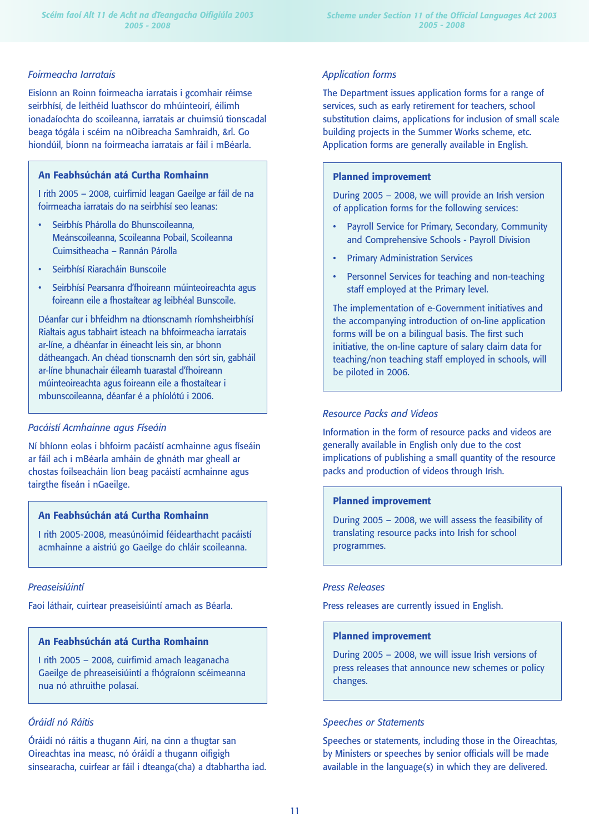#### *Foirmeacha Iarratais*

Eisíonn an Roinn foirmeacha iarratais i gcomhair réimse seirbhísí, de leithéid luathscor do mhúinteoirí, éilimh ionadaíochta do scoileanna, iarratais ar chuimsiú tionscadal beaga tógála i scéim na nOibreacha Samhraidh, &rl. Go hiondúil, bíonn na foirmeacha iarratais ar fáil i mBéarla.

#### **An Feabhsúchán atá Curtha Romhainn**

I rith 2005 – 2008, cuirfimid leagan Gaeilge ar fáil de na foirmeacha iarratais do na seirbhísí seo leanas:

- Seirbhís Phárolla do Bhunscoileanna, Meánscoileanna, Scoileanna Pobail, Scoileanna Cuimsitheacha – Rannán Párolla
- Seirbhísí Riaracháin Bunscoile
- Seirbhísí Pearsanra d'fhoireann múinteoireachta agus foireann eile a fhostaítear ag leibhéal Bunscoile.

Déanfar cur i bhfeidhm na dtionscnamh ríomhsheirbhísí Rialtais agus tabhairt isteach na bhfoirmeacha iarratais ar-líne, a dhéanfar in éineacht leis sin, ar bhonn dátheangach. An chéad tionscnamh den sórt sin, gabháil ar-líne bhunachair éileamh tuarastal d'fhoireann múinteoireachta agus foireann eile a fhostaítear i mbunscoileanna, déanfar é a phíolótú i 2006.

#### *Pacáistí Acmhainne agus Físeáin*

Ní bhíonn eolas i bhfoirm pacáistí acmhainne agus físeáin ar fáil ach i mBéarla amháin de ghnáth mar gheall ar chostas foilseacháin líon beag pacáistí acmhainne agus tairgthe físeán i nGaeilge.

## **An Feabhsúchán atá Curtha Romhainn**

I rith 2005-2008, measúnóimid féidearthacht pacáistí acmhainne a aistriú go Gaeilge do chláir scoileanna.

#### *Preaseisiúintí*

Faoi láthair, cuirtear preaseisiúintí amach as Béarla.

#### **An Feabhsúchán atá Curtha Romhainn**

I rith 2005 – 2008, cuirfimid amach leaganacha Gaeilge de phreaseisiúintí a fhógraíonn scéimeanna nua nó athruithe polasaí.

### *Óráidí nó Ráitis*

Óráidí nó ráitis a thugann Airí, na cinn a thugtar san Oireachtas ina measc, nó óráidí a thugann oifigigh sinsearacha, cuirfear ar fáil i dteanga(cha) a dtabhartha iad.

#### *Application forms*

The Department issues application forms for a range of services, such as early retirement for teachers, school substitution claims, applications for inclusion of small scale building projects in the Summer Works scheme, etc. Application forms are generally available in English.

#### **Planned improvement**

During 2005 – 2008, we will provide an Irish version of application forms for the following services:

- Payroll Service for Primary, Secondary, Community and Comprehensive Schools - Payroll Division
- Primary Administration Services
- Personnel Services for teaching and non-teaching staff employed at the Primary level.

The implementation of e-Government initiatives and the accompanying introduction of on-line application forms will be on a bilingual basis. The first such initiative, the on-line capture of salary claim data for teaching/non teaching staff employed in schools, will be piloted in 2006.

#### *Resource Packs and Videos*

Information in the form of resource packs and videos are generally available in English only due to the cost implications of publishing a small quantity of the resource packs and production of videos through Irish.

#### **Planned improvement**

During 2005 – 2008, we will assess the feasibility of translating resource packs into Irish for school programmes.

#### *Press Releases*

Press releases are currently issued in English.

#### **Planned improvement**

During 2005 – 2008, we will issue Irish versions of press releases that announce new schemes or policy changes.

#### *Speeches or Statements*

Speeches or statements, including those in the Oireachtas, by Ministers or speeches by senior officials will be made available in the language(s) in which they are delivered.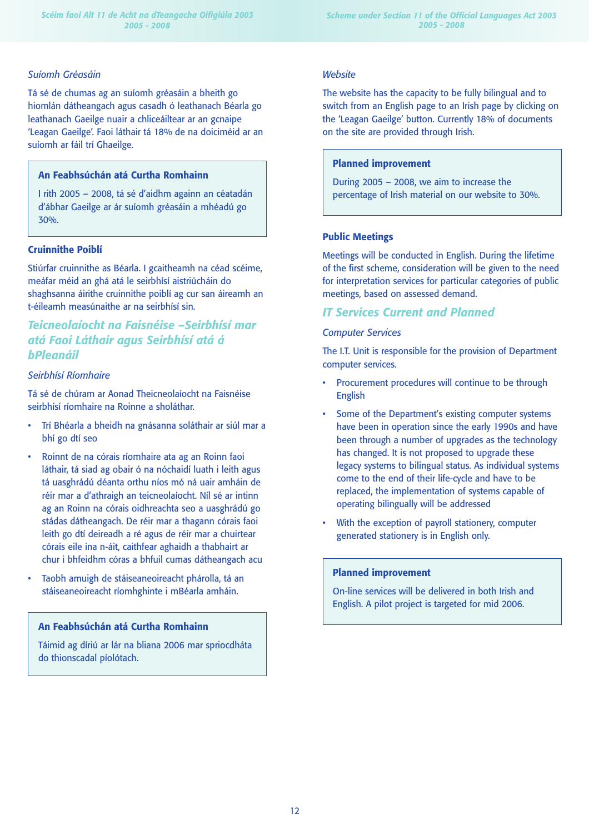#### *Suíomh Gréasáin*

Tá sé de chumas ag an suíomh gréasáin a bheith go hiomlán dátheangach agus casadh ó leathanach Béarla go leathanach Gaeilge nuair a chliceáiltear ar an gcnaipe 'Leagan Gaeilge'. Faoi láthair tá 18% de na doiciméid ar an suíomh ar fáil trí Ghaeilge.

## **An Feabhsúchán atá Curtha Romhainn**

I rith 2005 – 2008, tá sé d'aidhm againn an céatadán d'ábhar Gaeilge ar ár suíomh gréasáin a mhéadú go 30%.

### **Cruinnithe Poiblí**

Stiúrfar cruinnithe as Béarla. I gcaitheamh na céad scéime, meáfar méid an ghá atá le seirbhísí aistriúcháin do shaghsanna áirithe cruinnithe poiblí ag cur san áireamh an t-éileamh measúnaithe ar na seirbhísí sin.

# *Teicneolaíocht na Faisnéise –Seirbhísí mar atá Faoi Láthair agus Seirbhísí atá á bPleanáil*

## *Seirbhísí Ríomhaire*

Tá sé de chúram ar Aonad Theicneolaíocht na Faisnéise seirbhísí ríomhaire na Roinne a sholáthar.

- Trí Bhéarla a bheidh na gnásanna soláthair ar siúl mar a bhí go dtí seo
- Roinnt de na córais ríomhaire ata ag an Roinn faoi láthair, tá siad ag obair ó na nóchaidí luath i leith agus tá uasghrádú déanta orthu níos mó ná uair amháin de réir mar a d'athraigh an teicneolaíocht. Níl sé ar intinn ag an Roinn na córais oidhreachta seo a uasghrádú go stádas dátheangach. De réir mar a thagann córais faoi leith go dtí deireadh a ré agus de réir mar a chuirtear córais eile ina n-áit, caithfear aghaidh a thabhairt ar chur i bhfeidhm córas a bhfuil cumas dátheangach acu
- Taobh amuigh de stáiseaneoireacht phárolla, tá an stáiseaneoireacht ríomhghinte i mBéarla amháin.

#### **An Feabhsúchán atá Curtha Romhainn**

Táimid ag díriú ar lár na bliana 2006 mar spriocdháta do thionscadal píolótach.

#### *Website*

The website has the capacity to be fully bilingual and to switch from an English page to an Irish page by clicking on the 'Leagan Gaeilge' button. Currently 18% of documents on the site are provided through Irish.

#### **Planned improvement**

During 2005 – 2008, we aim to increase the percentage of Irish material on our website to 30%.

#### **Public Meetings**

Meetings will be conducted in English. During the lifetime of the first scheme, consideration will be given to the need for interpretation services for particular categories of public meetings, based on assessed demand.

## *IT Services Current and Planned*

#### *Computer Services*

The I.T. Unit is responsible for the provision of Department computer services.

- Procurement procedures will continue to be through English
- Some of the Department's existing computer systems have been in operation since the early 1990s and have been through a number of upgrades as the technology has changed. It is not proposed to upgrade these legacy systems to bilingual status. As individual systems come to the end of their life-cycle and have to be replaced, the implementation of systems capable of operating bilingually will be addressed
- With the exception of payroll stationery, computer generated stationery is in English only.

## **Planned improvement**

On-line services will be delivered in both Irish and English. A pilot project is targeted for mid 2006.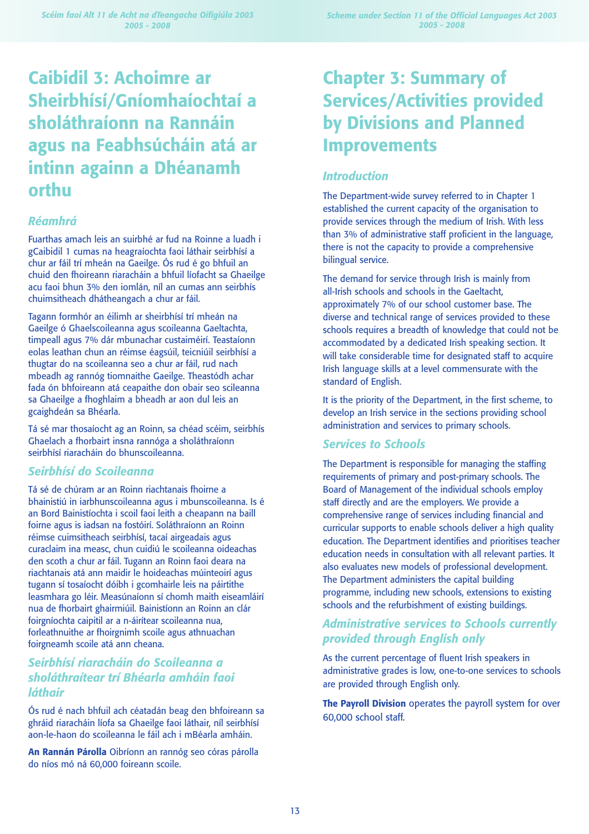# **Caibidil 3: Achoimre ar Sheirbhísí/Gníomhaíochtaí a sholáthraíonn na Rannáin agus na Feabhsúcháin atá ar intinn againn a Dhéanamh orthu**

## *Réamhrá*

Fuarthas amach leis an suirbhé ar fud na Roinne a luadh i gCaibidil 1 cumas na heagraíochta faoi láthair seirbhísí a chur ar fáil trí mheán na Gaeilge. Ós rud é go bhfuil an chuid den fhoireann riaracháin a bhfuil líofacht sa Ghaeilge acu faoi bhun 3% den iomlán, níl an cumas ann seirbhís chuimsitheach dhátheangach a chur ar fáil.

Tagann formhór an éilimh ar sheirbhísí trí mheán na Gaeilge ó Ghaelscoileanna agus scoileanna Gaeltachta, timpeall agus 7% dár mbunachar custaiméirí. Teastaíonn eolas leathan chun an réimse éagsúil, teicniúil seirbhísí a thugtar do na scoileanna seo a chur ar fáil, rud nach mbeadh ag rannóg tiomnaithe Gaeilge. Theastódh achar fada ón bhfoireann atá ceapaithe don obair seo scileanna sa Ghaeilge a fhoghlaim a bheadh ar aon dul leis an gcaighdeán sa Bhéarla.

Tá sé mar thosaíocht ag an Roinn, sa chéad scéim, seirbhís Ghaelach a fhorbairt insna rannóga a sholáthraíonn seirbhísí riaracháin do bhunscoileanna.

# *Seirbhísí do Scoileanna*

Tá sé de chúram ar an Roinn riachtanais fhoirne a bhainistiú in iarbhunscoileanna agus i mbunscoileanna. Is é an Bord Bainistíochta i scoil faoi leith a cheapann na baill foirne agus is iadsan na fostóirí. Soláthraíonn an Roinn réimse cuimsitheach seirbhísí, tacaí airgeadais agus curaclaim ina measc, chun cuidiú le scoileanna oideachas den scoth a chur ar fáil. Tugann an Roinn faoi deara na riachtanais atá ann maidir le hoideachas múinteoirí agus tugann sí tosaíocht dóibh i gcomhairle leis na páirtithe leasmhara go léir. Measúnaíonn sí chomh maith eiseamláirí nua de fhorbairt ghairmiúil. Bainistíonn an Roinn an clár foirgníochta caipitil ar a n-áirítear scoileanna nua, forleathnuithe ar fhoirgnimh scoile agus athnuachan foirgneamh scoile atá ann cheana.

# *Seirbhísí riaracháin do Scoileanna a sholáthraítear trí Bhéarla amháin faoi láthair*

Ós rud é nach bhfuil ach céatadán beag den bhfoireann sa ghráid riaracháin líofa sa Ghaeilge faoi láthair, níl seirbhísí aon-le-haon do scoileanna le fáil ach i mBéarla amháin.

**An Rannán Párolla** Oibríonn an rannóg seo córas párolla do níos mó ná 60,000 foireann scoile.

# **Chapter 3: Summary of Services/Activities provided by Divisions and Planned Improvements**

# *Introduction*

The Department-wide survey referred to in Chapter 1 established the current capacity of the organisation to provide services through the medium of Irish. With less than 3% of administrative staff proficient in the language, there is not the capacity to provide a comprehensive bilingual service.

The demand for service through Irish is mainly from all-Irish schools and schools in the Gaeltacht, approximately 7% of our school customer base. The diverse and technical range of services provided to these schools requires a breadth of knowledge that could not be accommodated by a dedicated Irish speaking section. It will take considerable time for designated staff to acquire Irish language skills at a level commensurate with the standard of English.

It is the priority of the Department, in the first scheme, to develop an Irish service in the sections providing school administration and services to primary schools.

# *Services to Schools*

The Department is responsible for managing the staffing requirements of primary and post-primary schools. The Board of Management of the individual schools employ staff directly and are the employers. We provide a comprehensive range of services including financial and curricular supports to enable schools deliver a high quality education. The Department identifies and prioritises teacher education needs in consultation with all relevant parties. It also evaluates new models of professional development. The Department administers the capital building programme, including new schools, extensions to existing schools and the refurbishment of existing buildings.

# *Administrative services to Schools currently provided through English only*

As the current percentage of fluent Irish speakers in administrative grades is low, one-to-one services to schools are provided through English only.

**The Payroll Division** operates the payroll system for over 60,000 school staff.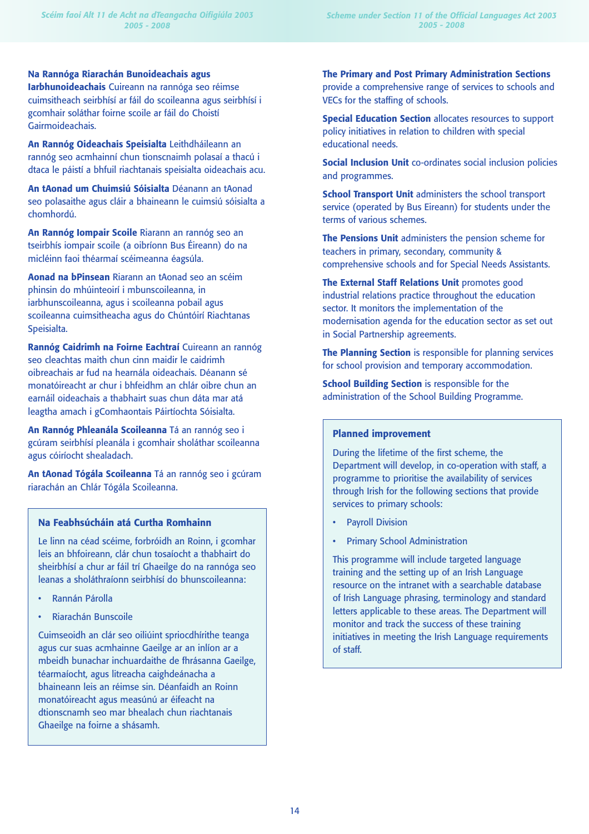**Iarbhunoideachais** Cuireann na rannóga seo réimse cuimsitheach seirbhísí ar fáil do scoileanna agus seirbhísí i gcomhair soláthar foirne scoile ar fáil do Choistí Gairmoideachais.

**An Rannóg Oideachais Speisialta** Leithdháileann an rannóg seo acmhainní chun tionscnaimh polasaí a thacú i dtaca le páistí a bhfuil riachtanais speisialta oideachais acu.

**An tAonad um Chuimsiú Sóisialta** Déanann an tAonad seo polasaithe agus cláir a bhaineann le cuimsiú sóisialta a chomhordú.

**An Rannóg Iompair Scoile** Riarann an rannóg seo an tseirbhís iompair scoile (a oibríonn Bus Éireann) do na micléinn faoi théarmaí scéimeanna éagsúla.

**Aonad na bPinsean** Riarann an tAonad seo an scéim phinsin do mhúinteoirí i mbunscoileanna, in iarbhunscoileanna, agus i scoileanna pobail agus scoileanna cuimsitheacha agus do Chúntóirí Riachtanas Speisialta.

**Rannóg Caidrimh na Foirne Eachtraí** Cuireann an rannóg seo cleachtas maith chun cinn maidir le caidrimh oibreachais ar fud na hearnála oideachais. Déanann sé monatóireacht ar chur i bhfeidhm an chlár oibre chun an earnáil oideachais a thabhairt suas chun dáta mar atá leagtha amach i gComhaontais Páirtíochta Sóisialta.

**An Rannóg Phleanála Scoileanna** Tá an rannóg seo i gcúram seirbhísí pleanála i gcomhair sholáthar scoileanna agus cóiríocht shealadach.

**An tAonad Tógála Scoileanna** Tá an rannóg seo i gcúram riarachán an Chlár Tógála Scoileanna.

#### **Na Feabhsúcháin atá Curtha Romhainn**

Le linn na céad scéime, forbróidh an Roinn, i gcomhar leis an bhfoireann, clár chun tosaíocht a thabhairt do sheirbhísí a chur ar fáil trí Ghaeilge do na rannóga seo leanas a sholáthraíonn seirbhísí do bhunscoileanna:

- Rannán Párolla
- Riarachán Bunscoile

Cuimseoidh an clár seo oiliúint spriocdhírithe teanga agus cur suas acmhainne Gaeilge ar an inlíon ar a mbeidh bunachar inchuardaithe de fhrásanna Gaeilge, téarmaíocht, agus litreacha caighdeánacha a bhaineann leis an réimse sin. Déanfaidh an Roinn monatóireacht agus measúnú ar éifeacht na dtionscnamh seo mar bhealach chun riachtanais Ghaeilge na foirne a shásamh.

*Scheme under Section 11 of the Official Languages Act 2003 2005 - 2008*

**The Primary and Post Primary Administration Sections** provide a comprehensive range of services to schools and VECs for the staffing of schools.

**Special Education Section** allocates resources to support policy initiatives in relation to children with special educational needs.

**Social Inclusion Unit** co-ordinates social inclusion policies and programmes.

**School Transport Unit** administers the school transport service (operated by Bus Eireann) for students under the terms of various schemes.

**The Pensions Unit** administers the pension scheme for teachers in primary, secondary, community & comprehensive schools and for Special Needs Assistants.

**The External Staff Relations Unit** promotes good industrial relations practice throughout the education sector. It monitors the implementation of the modernisation agenda for the education sector as set out in Social Partnership agreements.

**The Planning Section** is responsible for planning services for school provision and temporary accommodation.

**School Building Section** is responsible for the administration of the School Building Programme.

#### **Planned improvement**

During the lifetime of the first scheme, the Department will develop, in co-operation with staff, a programme to prioritise the availability of services through Irish for the following sections that provide services to primary schools:

- Payroll Division
- Primary School Administration

This programme will include targeted language training and the setting up of an Irish Language resource on the intranet with a searchable database of Irish Language phrasing, terminology and standard letters applicable to these areas. The Department will monitor and track the success of these training initiatives in meeting the Irish Language requirements of staff.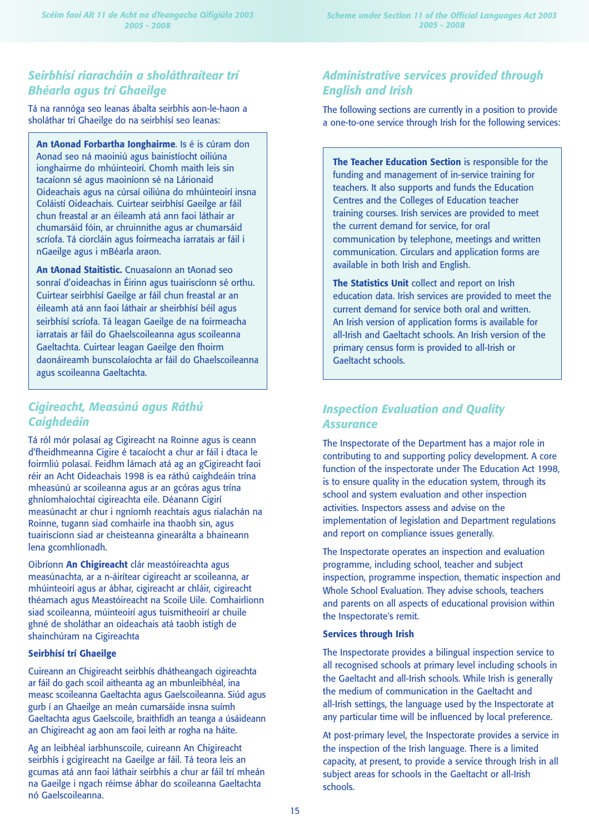# *Seirbhísí riaracháin a sholáthraítear trí Bhéarla agus trí Ghaeilge*

Tá na rannóga seo leanas ábalta seirbhís aon-le-haon a sholáthar trí Ghaeilge do na seirbhísí seo leanas:

**An tAonad Forbartha Ionghairme**. Is é is cúram don Aonad seo ná maoiniú agus bainistíocht oiliúna ionghairme do mhúinteoirí. Chomh maith leis sin tacaíonn sé agus maoiníonn sé na Lárionaid Oideachais agus na cúrsaí oiliúna do mhúinteoirí insna Coláistí Oideachais. Cuirtear seirbhísí Gaeilge ar fáil chun freastal ar an éileamh atá ann faoi láthair ar chumarsáid fóin, ar chruinnithe agus ar chumarsáid scríofa. Tá ciorcláin agus foirmeacha iarratais ar fáil i nGaeilge agus i mBéarla araon.

**An tAonad Staitistic.** Cnuasaíonn an tAonad seo sonraí d'oideachas in Éirinn agus tuairiscíonn sé orthu. Cuirtear seirbhísí Gaeilge ar fáil chun freastal ar an éileamh atá ann faoi láthair ar sheirbhísí béil agus seirbhísí scríofa. Tá leagan Gaeilge de na foirmeacha iarratais ar fáil do Ghaelscoileanna agus scoileanna Gaeltachta. Cuirtear leagan Gaeilge den fhoirm daonáireamh bunscolaíochta ar fáil do Ghaelscoileanna agus scoileanna Gaeltachta.

# *Cigireacht, Measúnú agus Ráthú Caighdeáin*

Tá ról mór polasaí ag Cigireacht na Roinne agus is ceann d'fheidhmeanna Cigire é tacaíocht a chur ar fáil i dtaca le foirmliú polasaí. Feidhm lárnach atá ag an gCigireacht faoi réir an Acht Oideachais 1998 is ea ráthú caighdeáin trína mheasúnú ar scoileanna agus ar an gcóras agus trína ghníomhaíochtaí cigireachta eile. Déanann Cigirí measúnacht ar chur i ngníomh reachtais agus rialachán na Roinne, tugann siad comhairle ina thaobh sin, agus tuairiscíonn siad ar cheisteanna ginearálta a bhaineann lena gcomhlíonadh.

Oibríonn **An Chigireacht** clár meastóireachta agus measúnachta, ar a n-áirítear cigireacht ar scoileanna, ar mhúinteoirí agus ar ábhar, cigireacht ar chláir, cigireacht théamach agus Meastóireacht na Scoile Uile. Comhairlíonn siad scoileanna, múinteoirí agus tuismitheoirí ar chuile ghné de sholáthar an oideachais atá taobh istigh de shainchúram na Cigireachta

#### **Seirbhísí trí Ghaeilge**

Cuireann an Chigireacht seirbhís dhátheangach cigireachta ar fáil do gach scoil aitheanta ag an mbunleibhéal, ina measc scoileanna Gaeltachta agus Gaelscoileanna. Siúd agus gurb í an Ghaeilge an meán cumarsáide insna suímh Gaeltachta agus Gaelscoile, braithfidh an teanga a úsáideann an Chigireacht ag aon am faoi leith ar rogha na háite.

Ag an leibhéal iarbhunscoile, cuireann An Chigireacht seirbhís i gcigireacht na Gaeilge ar fáil. Tá teora leis an gcumas atá ann faoi láthair seirbhís a chur ar fáil trí mheán na Gaeilge i ngach réimse ábhar do scoileanna Gaeltachta nó Gaelscoileanna.

# *Administrative services provided through English and Irish*

The following sections are currently in a position to provide a one-to-one service through Irish for the following services:

**The Teacher Education Section** is responsible for the funding and management of in-service training for teachers. It also supports and funds the Education Centres and the Colleges of Education teacher training courses. Irish services are provided to meet the current demand for service, for oral communication by telephone, meetings and written communication. Circulars and application forms are available in both Irish and English.

**The Statistics Unit** collect and report on Irish education data. Irish services are provided to meet the current demand for service both oral and written. An Irish version of application forms is available for all-Irish and Gaeltacht schools. An Irish version of the primary census form is provided to all-Irish or Gaeltacht schools.

# *Inspection Evaluation and Quality Assurance*

The Inspectorate of the Department has a major role in contributing to and supporting policy development. A core function of the inspectorate under The Education Act 1998, is to ensure quality in the education system, through its school and system evaluation and other inspection activities. Inspectors assess and advise on the implementation of legislation and Department regulations and report on compliance issues generally.

The Inspectorate operates an inspection and evaluation programme, including school, teacher and subject inspection, programme inspection, thematic inspection and Whole School Evaluation. They advise schools, teachers and parents on all aspects of educational provision within the Inspectorate's remit.

### **Services through Irish**

The Inspectorate provides a bilingual inspection service to all recognised schools at primary level including schools in the Gaeltacht and all-Irish schools. While Irish is generally the medium of communication in the Gaeltacht and all-Irish settings, the language used by the Inspectorate at any particular time will be influenced by local preference.

At post-primary level, the Inspectorate provides a service in the inspection of the Irish language. There is a limited capacity, at present, to provide a service through Irish in all subject areas for schools in the Gaeltacht or all-Irish schools.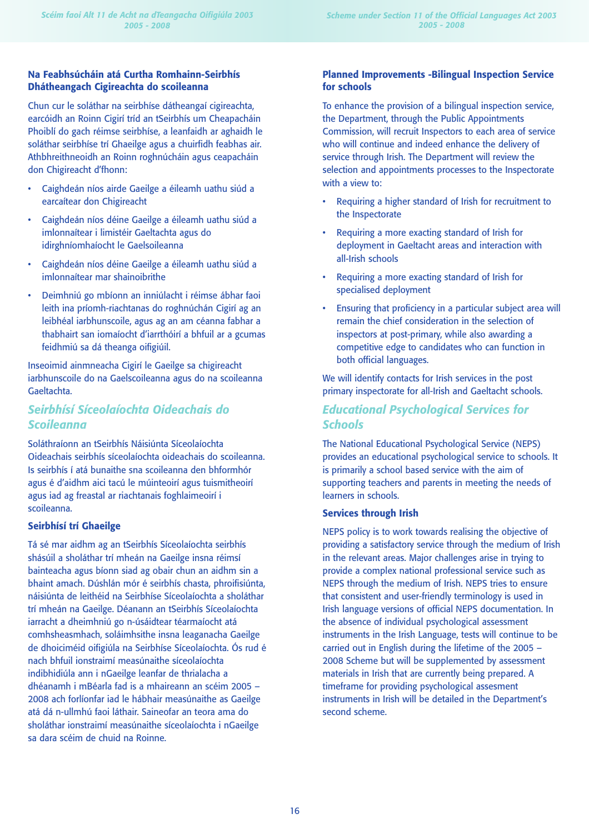## **Na Feabhsúcháin atá Curtha Romhainn-Seirbhís Dhátheangach Cigireachta do scoileanna**

Chun cur le soláthar na seirbhíse dátheangaí cigireachta, earcóidh an Roinn Cigirí tríd an tSeirbhís um Cheapacháin Phoiblí do gach réimse seirbhíse, a leanfaidh ar aghaidh le soláthar seirbhíse trí Ghaeilge agus a chuirfidh feabhas air. Athbhreithneoidh an Roinn roghnúcháin agus ceapacháin don Chigireacht d'fhonn:

- Caighdeán níos airde Gaeilge a éileamh uathu siúd a earcaítear don Chigireacht
- Caighdeán níos déine Gaeilge a éileamh uathu siúd a imlonnaítear i limistéir Gaeltachta agus do idirghníomhaíocht le Gaelsoileanna
- Caighdeán níos déine Gaeilge a éileamh uathu siúd a imlonnaítear mar shainoibrithe
- Deimhniú go mbíonn an inniúlacht i réimse ábhar faoi leith ina príomh-riachtanas do roghnúchán Cigirí ag an leibhéal iarbhunscoile, agus ag an am céanna fabhar a thabhairt san iomaíocht d'iarrthóirí a bhfuil ar a gcumas feidhmiú sa dá theanga oifigiúil.

Inseoimid ainmneacha Cigirí le Gaeilge sa chigireacht iarbhunscoile do na Gaelscoileanna agus do na scoileanna Gaeltachta.

# *Seirbhísí Síceolaíochta Oideachais do Scoileanna*

Soláthraíonn an tSeirbhís Náisiúnta Síceolaíochta Oideachais seirbhís síceolaíochta oideachais do scoileanna. Is seirbhís í atá bunaithe sna scoileanna den bhformhór agus é d'aidhm aici tacú le múinteoirí agus tuismitheoirí agus iad ag freastal ar riachtanais foghlaimeoirí i scoileanna.

## **Seirbhísí trí Ghaeilge**

Tá sé mar aidhm ag an tSeirbhís Síceolaíochta seirbhís shásúil a sholáthar trí mheán na Gaeilge insna réimsí bainteacha agus bíonn siad ag obair chun an aidhm sin a bhaint amach. Dúshlán mór é seirbhís chasta, phroifisiúnta, náisiúnta de leithéid na Seirbhíse Síceolaíochta a sholáthar trí mheán na Gaeilge. Déanann an tSeirbhís Síceolaíochta iarracht a dheimhniú go n-úsáidtear téarmaíocht atá comhsheasmhach, soláimhsithe insna leaganacha Gaeilge de dhoiciméid oifigiúla na Seirbhíse Síceolaíochta. Ós rud é nach bhfuil ionstraimí measúnaithe síceolaíochta indibhidiúla ann i nGaeilge leanfar de thrialacha a dhéanamh i mBéarla fad is a mhaireann an scéim 2005 – 2008 ach forlíonfar iad le hábhair measúnaithe as Gaeilge atá dá n-ullmhú faoi láthair. Saineofar an teora ama do sholáthar ionstraimí measúnaithe síceolaíochta i nGaeilge sa dara scéim de chuid na Roinne.

## **Planned Improvements -Bilingual Inspection Service for schools**

To enhance the provision of a bilingual inspection service, the Department, through the Public Appointments Commission, will recruit Inspectors to each area of service who will continue and indeed enhance the delivery of service through Irish. The Department will review the selection and appointments processes to the Inspectorate with a view to:

- Requiring a higher standard of Irish for recruitment to the Inspectorate
- Requiring a more exacting standard of Irish for deployment in Gaeltacht areas and interaction with all-Irish schools
- Requiring a more exacting standard of Irish for specialised deployment
- Ensuring that proficiency in a particular subject area will remain the chief consideration in the selection of inspectors at post-primary, while also awarding a competitive edge to candidates who can function in both official languages.

We will identify contacts for Irish services in the post primary inspectorate for all-Irish and Gaeltacht schools.

# *Educational Psychological Services for Schools*

The National Educational Psychological Service (NEPS) provides an educational psychological service to schools. It is primarily a school based service with the aim of supporting teachers and parents in meeting the needs of learners in schools.

### **Services through Irish**

NEPS policy is to work towards realising the objective of providing a satisfactory service through the medium of Irish in the relevant areas. Major challenges arise in trying to provide a complex national professional service such as NEPS through the medium of Irish. NEPS tries to ensure that consistent and user-friendly terminology is used in Irish language versions of official NEPS documentation. In the absence of individual psychological assessment instruments in the Irish Language, tests will continue to be carried out in English during the lifetime of the 2005 – 2008 Scheme but will be supplemented by assessment materials in Irish that are currently being prepared. A timeframe for providing psychological assesment instruments in Irish will be detailed in the Department's second scheme.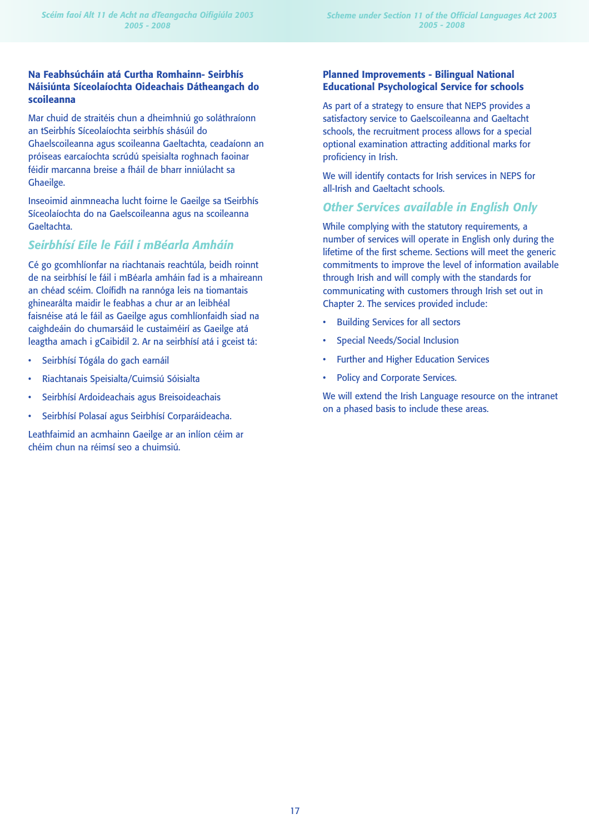## **Na Feabhsúcháin atá Curtha Romhainn- Seirbhís Náisiúnta Síceolaíochta Oideachais Dátheangach do scoileanna**

Mar chuid de straitéis chun a dheimhniú go soláthraíonn an tSeirbhís Síceolaíochta seirbhís shásúil do Ghaelscoileanna agus scoileanna Gaeltachta, ceadaíonn an próiseas earcaíochta scrúdú speisialta roghnach faoinar féidir marcanna breise a fháil de bharr inniúlacht sa Ghaeilge.

Inseoimid ainmneacha lucht foirne le Gaeilge sa tSeirbhís Síceolaíochta do na Gaelscoileanna agus na scoileanna Gaeltachta.

# *Seirbhísí Eile le Fáil i mBéarla Amháin*

Cé go gcomhlíonfar na riachtanais reachtúla, beidh roinnt de na seirbhísí le fáil i mBéarla amháin fad is a mhaireann an chéad scéim. Cloífidh na rannóga leis na tiomantais ghinearálta maidir le feabhas a chur ar an leibhéal faisnéise atá le fáil as Gaeilge agus comhlíonfaidh siad na caighdeáin do chumarsáid le custaiméirí as Gaeilge atá leagtha amach i gCaibidil 2. Ar na seirbhísí atá i gceist tá:

- Seirbhísí Tógála do gach earnáil
- Riachtanais Speisialta/Cuimsiú Sóisialta
- Seirbhísí Ardoideachais agus Breisoideachais
- Seirbhísí Polasaí agus Seirbhísí Corparáideacha.

Leathfaimid an acmhainn Gaeilge ar an inlíon céim ar chéim chun na réimsí seo a chuimsiú.

## **Planned Improvements - Bilingual National Educational Psychological Service for schools**

As part of a strategy to ensure that NEPS provides a satisfactory service to Gaelscoileanna and Gaeltacht schools, the recruitment process allows for a special optional examination attracting additional marks for proficiency in Irish.

We will identify contacts for Irish services in NEPS for all-Irish and Gaeltacht schools.

# *Other Services available in English Only*

While complying with the statutory requirements, a number of services will operate in English only during the lifetime of the first scheme. Sections will meet the generic commitments to improve the level of information available through Irish and will comply with the standards for communicating with customers through Irish set out in Chapter 2. The services provided include:

- Building Services for all sectors
- Special Needs/Social Inclusion
- Further and Higher Education Services
- Policy and Corporate Services.

We will extend the Irish Language resource on the intranet on a phased basis to include these areas.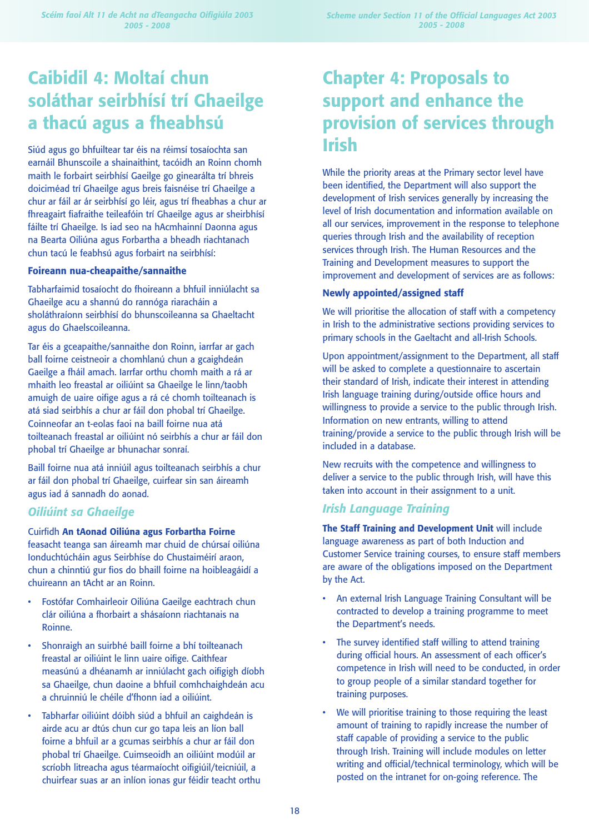# **Caibidil 4: Moltaí chun soláthar seirbhísí trí Ghaeilge a thacú agus a fheabhsú**

Siúd agus go bhfuiltear tar éis na réimsí tosaíochta san earnáil Bhunscoile a shainaithint, tacóidh an Roinn chomh maith le forbairt seirbhísí Gaeilge go ginearálta trí bhreis doiciméad trí Ghaeilge agus breis faisnéise trí Ghaeilge a chur ar fáil ar ár seirbhísí go léir, agus trí fheabhas a chur ar fhreagairt fiafraithe teileafóin trí Ghaeilge agus ar sheirbhísí fáilte trí Ghaeilge. Is iad seo na hAcmhainní Daonna agus na Bearta Oiliúna agus Forbartha a bheadh riachtanach chun tacú le feabhsú agus forbairt na seirbhísí:

#### **Foireann nua-cheapaithe/sannaithe**

Tabharfaimid tosaíocht do fhoireann a bhfuil inniúlacht sa Ghaeilge acu a shannú do rannóga riaracháin a sholáthraíonn seirbhísí do bhunscoileanna sa Ghaeltacht agus do Ghaelscoileanna.

Tar éis a gceapaithe/sannaithe don Roinn, iarrfar ar gach ball foirne ceistneoir a chomhlanú chun a gcaighdeán Gaeilge a fháil amach. Iarrfar orthu chomh maith a rá ar mhaith leo freastal ar oiliúint sa Ghaeilge le linn/taobh amuigh de uaire oifige agus a rá cé chomh toilteanach is atá siad seirbhís a chur ar fáil don phobal trí Ghaeilge. Coinneofar an t-eolas faoi na baill foirne nua atá toilteanach freastal ar oiliúint nó seirbhís a chur ar fáil don phobal trí Ghaeilge ar bhunachar sonraí.

Baill foirne nua atá inniúil agus toilteanach seirbhís a chur ar fáil don phobal trí Ghaeilge, cuirfear sin san áireamh agus iad á sannadh do aonad.

# *Oiliúint sa Ghaeilge*

Cuirfidh **An tAonad Oiliúna agus Forbartha Foirne**

feasacht teanga san áireamh mar chuid de chúrsaí oiliúna Ionduchtúcháin agus Seirbhíse do Chustaiméirí araon, chun a chinntiú gur fios do bhaill foirne na hoibleagáidí a chuireann an tAcht ar an Roinn.

- Fostófar Comhairleoir Oiliúna Gaeilge eachtrach chun clár oiliúna a fhorbairt a shásaíonn riachtanais na Roinne.
- Shonraigh an suirbhé baill foirne a bhí toilteanach freastal ar oiliúint le linn uaire oifige. Caithfear measúnú a dhéanamh ar inniúlacht gach oifigigh díobh sa Ghaeilge, chun daoine a bhfuil comhchaighdeán acu a chruinniú le chéile d'fhonn iad a oiliúint.
- Tabharfar oiliúint dóibh siúd a bhfuil an caighdeán is airde acu ar dtús chun cur go tapa leis an líon ball foirne a bhfuil ar a gcumas seirbhís a chur ar fáil don phobal trí Ghaeilge. Cuimseoidh an oiliúint modúil ar scríobh litreacha agus téarmaíocht oifigiúil/teicniúil, a chuirfear suas ar an inlíon ionas gur féidir teacht orthu

# **Chapter 4: Proposals to support and enhance the provision of services through Irish**

While the priority areas at the Primary sector level have been identified, the Department will also support the development of Irish services generally by increasing the level of Irish documentation and information available on all our services, improvement in the response to telephone queries through Irish and the availability of reception services through Irish. The Human Resources and the Training and Development measures to support the improvement and development of services are as follows:

## **Newly appointed/assigned staff**

We will prioritise the allocation of staff with a competency in Irish to the administrative sections providing services to primary schools in the Gaeltacht and all-Irish Schools.

Upon appointment/assignment to the Department, all staff will be asked to complete a questionnaire to ascertain their standard of Irish, indicate their interest in attending Irish language training during/outside office hours and willingness to provide a service to the public through Irish. Information on new entrants, willing to attend training/provide a service to the public through Irish will be included in a database.

New recruits with the competence and willingness to deliver a service to the public through Irish, will have this taken into account in their assignment to a unit.

# *Irish Language Training*

**The Staff Training and Development Unit** will include language awareness as part of both Induction and Customer Service training courses, to ensure staff members are aware of the obligations imposed on the Department by the Act.

- An external Irish Language Training Consultant will be contracted to develop a training programme to meet the Department's needs.
- The survey identified staff willing to attend training during official hours. An assessment of each officer's competence in Irish will need to be conducted, in order to group people of a similar standard together for training purposes.
- We will prioritise training to those requiring the least amount of training to rapidly increase the number of staff capable of providing a service to the public through Irish. Training will include modules on letter writing and official/technical terminology, which will be posted on the intranet for on-going reference. The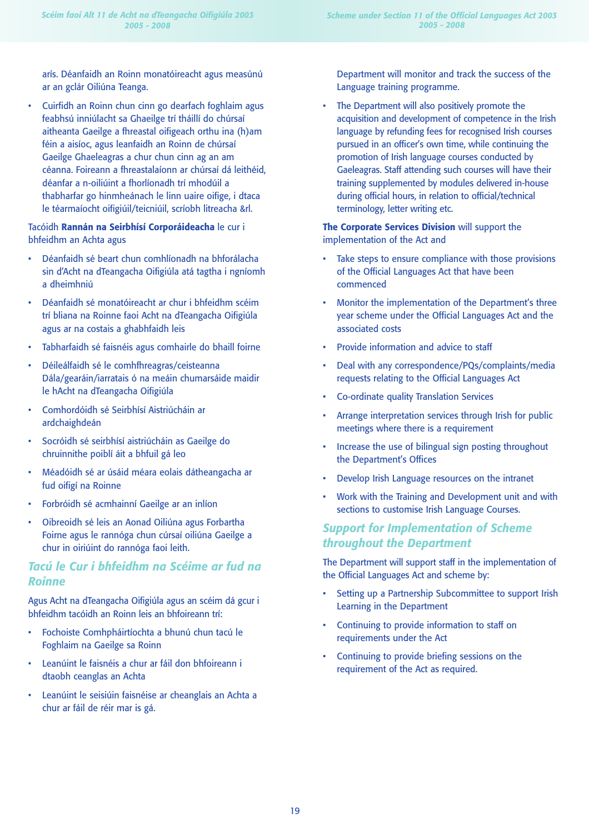arís. Déanfaidh an Roinn monatóireacht agus measúnú ar an gclár Oiliúna Teanga.

• Cuirfidh an Roinn chun cinn go dearfach foghlaim agus feabhsú inniúlacht sa Ghaeilge trí tháillí do chúrsaí aitheanta Gaeilge a fhreastal oifigeach orthu ina (h)am féin a aisíoc, agus leanfaidh an Roinn de chúrsaí Gaeilge Ghaeleagras a chur chun cinn ag an am céanna. Foireann a fhreastalaíonn ar chúrsaí dá leithéid, déanfar a n-oiliúint a fhorlíonadh trí mhodúil a thabharfar go hinmheánach le linn uaire oifige, i dtaca le téarmaíocht oifigiúil/teicniúil, scríobh litreacha &rl.

## Tacóidh **Rannán na Seirbhísí Corporáideacha** le cur i bhfeidhm an Achta agus

- Déanfaidh sé beart chun comhlíonadh na bhforálacha sin d'Acht na dTeangacha Oifigiúla atá tagtha i ngníomh a dheimhniú
- Déanfaidh sé monatóireacht ar chur i bhfeidhm scéim trí bliana na Roinne faoi Acht na dTeangacha Oifigiúla agus ar na costais a ghabhfaidh leis
- Tabharfaidh sé faisnéis agus comhairle do bhaill foirne
- Déileálfaidh sé le comhfhreagras/ceisteanna Dála/gearáin/iarratais ó na meáin chumarsáide maidir le hAcht na dTeangacha Oifigiúla
- Comhordóidh sé Seirbhísí Aistriúcháin ar ardchaighdeán
- Socróidh sé seirbhísí aistriúcháin as Gaeilge do chruinnithe poiblí áit a bhfuil gá leo
- Méadóidh sé ar úsáid méara eolais dátheangacha ar fud oifigí na Roinne
- Forbróidh sé acmhainní Gaeilge ar an inlíon
- Oibreoidh sé leis an Aonad Oiliúna agus Forbartha Foirne agus le rannóga chun cúrsaí oiliúna Gaeilge a chur in oiriúint do rannóga faoi leith.

# *Tacú le Cur i bhfeidhm na Scéime ar fud na Roinne*

Agus Acht na dTeangacha Oifigiúla agus an scéim dá gcur i bhfeidhm tacóidh an Roinn leis an bhfoireann trí:

- Fochoiste Comhpháirtíochta a bhunú chun tacú le Foghlaim na Gaeilge sa Roinn
- Leanúint le faisnéis a chur ar fáil don bhfoireann i dtaobh ceanglas an Achta
- Leanúint le seisiúin faisnéise ar cheanglais an Achta a chur ar fáil de réir mar is gá.

Department will monitor and track the success of the Language training programme.

The Department will also positively promote the acquisition and development of competence in the Irish language by refunding fees for recognised Irish courses pursued in an officer's own time, while continuing the promotion of Irish language courses conducted by Gaeleagras. Staff attending such courses will have their training supplemented by modules delivered in-house during official hours, in relation to official/technical terminology, letter writing etc.

## **The Corporate Services Division** will support the implementation of the Act and

- Take steps to ensure compliance with those provisions of the Official Languages Act that have been commenced
- Monitor the implementation of the Department's three year scheme under the Official Languages Act and the associated costs
- Provide information and advice to staff
- Deal with any correspondence/PQs/complaints/media requests relating to the Official Languages Act
- Co-ordinate quality Translation Services
- Arrange interpretation services through Irish for public meetings where there is a requirement
- Increase the use of bilingual sign posting throughout the Department's Offices
- Develop Irish Language resources on the intranet
- Work with the Training and Development unit and with sections to customise Irish Language Courses.

# *Support for Implementation of Scheme throughout the Department*

The Department will support staff in the implementation of the Official Languages Act and scheme by:

- Setting up a Partnership Subcommittee to support Irish Learning in the Department
- Continuing to provide information to staff on requirements under the Act
- Continuing to provide briefing sessions on the requirement of the Act as required.